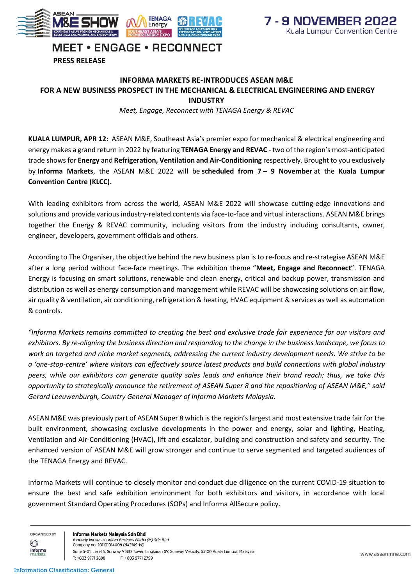



## **MEET • ENGAGE • RECONNECT**

**PRESS RELEASE**

## **INFORMA MARKETS RE-INTRODUCES ASEAN M&E FOR A NEW BUSINESS PROSPECT IN THE MECHANICAL & ELECTRICAL ENGINEERING AND ENERGY INDUSTRY**

*Meet, Engage, Reconnect with TENAGA Energy & REVAC* 

**KUALA LUMPUR, APR 12:** ASEAN M&E, Southeast Asia's premier expo for mechanical & electrical engineering and energy makes a grand return in 2022 by featuring **TENAGA Energy and REVAC** - two of the region's most-anticipated trade shows for **Energy** and **Refrigeration, Ventilation and Air-Conditioning** respectively. Brought to you exclusively by **Informa Markets**, the ASEAN M&E 2022 will be **scheduled from 7 – 9 November** at the **Kuala Lumpur Convention Centre (KLCC).**

With leading exhibitors from across the world, ASEAN M&E 2022 will showcase cutting-edge innovations and solutions and provide various industry-related contents via face-to-face and virtual interactions. ASEAN M&E brings together the Energy & REVAC community, including visitors from the industry including consultants, owner, engineer, developers, government officials and others.

According to The Organiser, the objective behind the new business plan is to re-focus and re-strategise ASEAN M&E after a long period without face-face meetings. The exhibition theme "**Meet, Engage and Reconnect**". TENAGA Energy is focusing on smart solutions, renewable and clean energy, critical and backup power, transmission and distribution as well as energy consumption and management while REVAC will be showcasing solutions on air flow, air quality & ventilation, air conditioning, refrigeration & heating, HVAC equipment & services as well as automation & controls.

*"Informa Markets remains committed to creating the best and exclusive trade fair experience for our visitors and exhibitors. By re-aligning the business direction and responding to the change in the business landscape, we focus to work on targeted and niche market segments, addressing the current industry development needs. We strive to be a 'one-stop-centre' where visitors can effectively source latest products and build connections with global industry peers, while our exhibitors can generate quality sales leads and enhance their brand reach; thus, we take this opportunity to strategically announce the retirement of ASEAN Super 8 and the repositioning of ASEAN M&E," said Gerard Leeuwenburgh, Country General Manager of Informa Markets Malaysia.*

ASEAN M&E was previously part of ASEAN Super 8 which is the region's largest and most extensive trade fair for the built environment, showcasing exclusive developments in the power and energy, solar and lighting, Heating, Ventilation and Air-Conditioning (HVAC), lift and escalator, building and construction and safety and security. The enhanced version of ASEAN M&E will grow stronger and continue to serve segmented and targeted audiences of the TENAGA Energy and REVAC.

Informa Markets will continue to closely monitor and conduct due diligence on the current COVID-19 situation to ensure the best and safe exhibition environment for both exhibitors and visitors, in accordance with local government Standard Operating Procedures (SOPs) and Informa AllSecure policy.

ORGANISED BY  $\circledcirc$ informa

Informa Markets Malaysia Sdn Bhd formerly known as United Business Media (M) Sdn Bhd Company no. 201101014009 (942149-W) Suite 5-01, Level 5, Sunway VISIO Tower, Lingkaran SV, Sunway Velocity, 55100 Kuala Lumpur, Malaysia. T: +603 9771 2688 F: +603 9771 2799